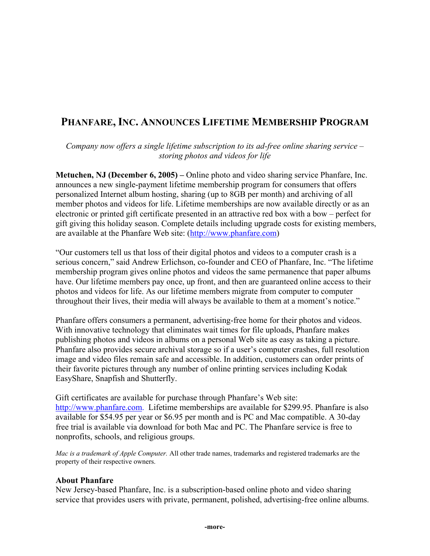## **PHANFARE, INC. ANNOUNCES LIFETIME MEMBERSHIP PROGRAM**

*Company now offers a single lifetime subscription to its ad-free online sharing service – storing photos and videos for life* 

**Metuchen, NJ (December 6, 2005) –** Online photo and video sharing service Phanfare, Inc. announces a new single-payment lifetime membership program for consumers that offers personalized Internet album hosting, sharing (up to 8GB per month) and archiving of all member photos and videos for life. Lifetime memberships are now available directly or as an electronic or printed gift certificate presented in an attractive red box with a bow – perfect for gift giving this holiday season. Complete details including upgrade costs for existing members, are available at the Phanfare Web site: (http://www.phanfare.com)

"Our customers tell us that loss of their digital photos and videos to a computer crash is a serious concern," said Andrew Erlichson, co-founder and CEO of Phanfare, Inc. "The lifetime membership program gives online photos and videos the same permanence that paper albums have. Our lifetime members pay once, up front, and then are guaranteed online access to their photos and videos for life. As our lifetime members migrate from computer to computer throughout their lives, their media will always be available to them at a moment's notice."

Phanfare offers consumers a permanent, advertising-free home for their photos and videos. With innovative technology that eliminates wait times for file uploads, Phanfare makes publishing photos and videos in albums on a personal Web site as easy as taking a picture. Phanfare also provides secure archival storage so if a user's computer crashes, full resolution image and video files remain safe and accessible. In addition, customers can order prints of their favorite pictures through any number of online printing services including Kodak EasyShare, Snapfish and Shutterfly.

Gift certificates are available for purchase through Phanfare's Web site: http://www.phanfare.com. Lifetime memberships are available for \$299.95. Phanfare is also available for \$54.95 per year or \$6.95 per month and is PC and Mac compatible. A 30-day free trial is available via download for both Mac and PC. The Phanfare service is free to nonprofits, schools, and religious groups.

*Mac is a trademark of Apple Computer.* All other trade names, trademarks and registered trademarks are the property of their respective owners.

## **About Phanfare**

New Jersey-based Phanfare, Inc. is a subscription-based online photo and video sharing service that provides users with private, permanent, polished, advertising-free online albums.